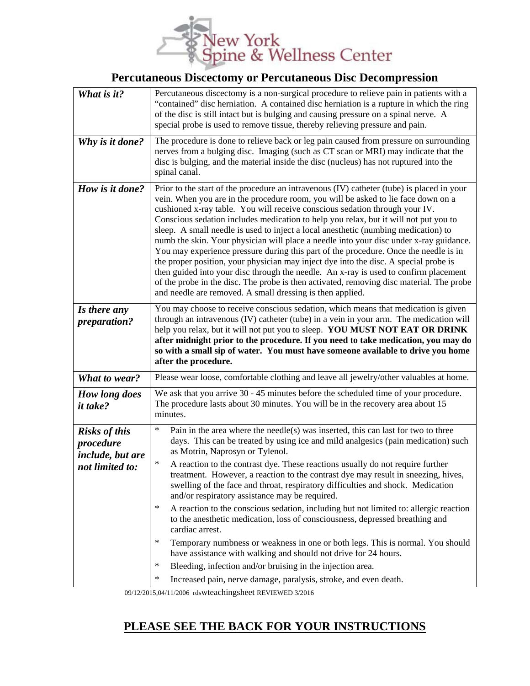

## **Percutaneous Discectomy or Percutaneous Disc Decompression**

| What is it?                                                              | Percutaneous discectomy is a non-surgical procedure to relieve pain in patients with a<br>"contained" disc herniation. A contained disc herniation is a rupture in which the ring<br>of the disc is still intact but is bulging and causing pressure on a spinal nerve. A<br>special probe is used to remove tissue, thereby relieving pressure and pain.                                                                                                                                                                                                                                                                                                                                                                                                                                                                                                                                                                                                              |
|--------------------------------------------------------------------------|------------------------------------------------------------------------------------------------------------------------------------------------------------------------------------------------------------------------------------------------------------------------------------------------------------------------------------------------------------------------------------------------------------------------------------------------------------------------------------------------------------------------------------------------------------------------------------------------------------------------------------------------------------------------------------------------------------------------------------------------------------------------------------------------------------------------------------------------------------------------------------------------------------------------------------------------------------------------|
| Why is it done?                                                          | The procedure is done to relieve back or leg pain caused from pressure on surrounding<br>nerves from a bulging disc. Imaging (such as CT scan or MRI) may indicate that the<br>disc is bulging, and the material inside the disc (nucleus) has not ruptured into the<br>spinal canal.                                                                                                                                                                                                                                                                                                                                                                                                                                                                                                                                                                                                                                                                                  |
| How is it done?                                                          | Prior to the start of the procedure an intravenous (IV) catheter (tube) is placed in your<br>vein. When you are in the procedure room, you will be asked to lie face down on a<br>cushioned x-ray table. You will receive conscious sedation through your IV.<br>Conscious sedation includes medication to help you relax, but it will not put you to<br>sleep. A small needle is used to inject a local anesthetic (numbing medication) to<br>numb the skin. Your physician will place a needle into your disc under x-ray guidance.<br>You may experience pressure during this part of the procedure. Once the needle is in<br>the proper position, your physician may inject dye into the disc. A special probe is<br>then guided into your disc through the needle. An x-ray is used to confirm placement<br>of the probe in the disc. The probe is then activated, removing disc material. The probe<br>and needle are removed. A small dressing is then applied. |
| Is there any<br>preparation?                                             | You may choose to receive conscious sedation, which means that medication is given<br>through an intravenous (IV) catheter (tube) in a vein in your arm. The medication will<br>help you relax, but it will not put you to sleep. YOU MUST NOT EAT OR DRINK<br>after midnight prior to the procedure. If you need to take medication, you may do<br>so with a small sip of water. You must have someone available to drive you home<br>after the procedure.                                                                                                                                                                                                                                                                                                                                                                                                                                                                                                            |
| What to wear?                                                            | Please wear loose, comfortable clothing and leave all jewelry/other valuables at home.                                                                                                                                                                                                                                                                                                                                                                                                                                                                                                                                                                                                                                                                                                                                                                                                                                                                                 |
| How long does<br><i>it take?</i>                                         | We ask that you arrive 30 - 45 minutes before the scheduled time of your procedure.<br>The procedure lasts about 30 minutes. You will be in the recovery area about 15<br>minutes.                                                                                                                                                                                                                                                                                                                                                                                                                                                                                                                                                                                                                                                                                                                                                                                     |
| <b>Risks of this</b><br>procedure<br>include, but are<br>not limited to: | $\ast$<br>Pain in the area where the needle(s) was inserted, this can last for two to three<br>days. This can be treated by using ice and mild analgesics (pain medication) such<br>as Motrin, Naprosyn or Tylenol.<br>$\ast$<br>A reaction to the contrast dye. These reactions usually do not require further<br>treatment. However, a reaction to the contrast dye may result in sneezing, hives,<br>swelling of the face and throat, respiratory difficulties and shock. Medication<br>and/or respiratory assistance may be required.<br>$\star$<br>A reaction to the conscious sedation, including but not limited to: allergic reaction<br>to the anesthetic medication, loss of consciousness, depressed breathing and                                                                                                                                                                                                                                          |
|                                                                          | cardiac arrest.<br>$\star$<br>Temporary numbness or weakness in one or both legs. This is normal. You should<br>have assistance with walking and should not drive for 24 hours.                                                                                                                                                                                                                                                                                                                                                                                                                                                                                                                                                                                                                                                                                                                                                                                        |
|                                                                          | $\ast$<br>Bleeding, infection and/or bruising in the injection area.<br>Increased pain, nerve damage, paralysis, stroke, and even death.                                                                                                                                                                                                                                                                                                                                                                                                                                                                                                                                                                                                                                                                                                                                                                                                                               |

09/12/2015,04/11/2006 rdswteachingsheet REVIEWED 3/2016

## **PLEASE SEE THE BACK FOR YOUR INSTRUCTIONS**